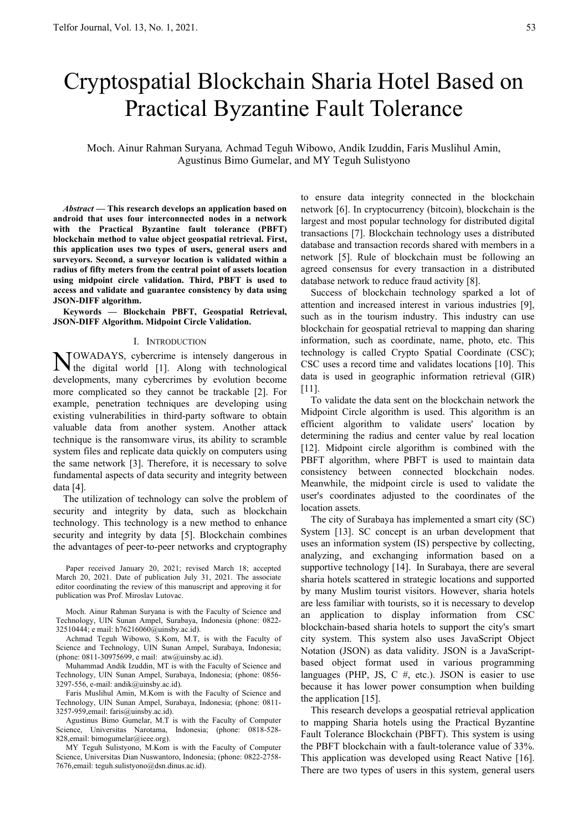# Cryptospatial Blockchain Sharia Hotel Based on Practical Byzantine Fault Tolerance

Moch. Ainur Rahman Suryana*,* Achmad Teguh Wibowo, Andik Izuddin, Faris Muslihul Amin, Agustinus Bimo Gumelar, and MY Teguh Sulistyono

*Abstract* **— This research develops an application based on android that uses four interconnected nodes in a network with the Practical Byzantine fault tolerance (PBFT) blockchain method to value object geospatial retrieval. First, this application uses two types of users, general users and surveyors. Second, a surveyor location is validated within a radius of fifty meters from the central point of assets location using midpoint circle validation. Third, PBFT is used to access and validate and guarantee consistency by data using JSON-DIFF algorithm.** 

**Keywords — Blockchain PBFT, Geospatial Retrieval, JSON-DIFF Algorithm. Midpoint Circle Validation.** 

#### I. INTRODUCTION

OWADAYS, cybercrime is intensely dangerous in NOWADAYS, cybercrime is intensely dangerous in the digital world [1]. Along with technological developments, many cybercrimes by evolution become more complicated so they cannot be trackable [2]. For example, penetration techniques are developing using existing vulnerabilities in third-party software to obtain valuable data from another system. Another attack technique is the ransomware virus, its ability to scramble system files and replicate data quickly on computers using the same network [3]. Therefore, it is necessary to solve fundamental aspects of data security and integrity between data [4].

The utilization of technology can solve the problem of security and integrity by data, such as blockchain technology. This technology is a new method to enhance security and integrity by data [5]. Blockchain combines the advantages of peer-to-peer networks and cryptography

Paper received January 20, 2021; revised March 18; accepted March 20, 2021. Date of publication July 31, 2021. The associate editor coordinating the review of this manuscript and approving it for publication was Prof. Miroslav Lutovac.

Moch. Ainur Rahman Suryana is with the Faculty of Science and Technology, UIN Sunan Ampel, Surabaya, Indonesia (phone: 0822- 32510444; e mail: h76216060@uinsby.ac.id).

Achmad Teguh Wibowo, S.Kom, M.T, is with the Faculty of Science and Technology, UIN Sunan Ampel, Surabaya, Indonesia; (phone: 0811-30975699, e mail: atw@uinsby.ac.id).

Muhammad Andik Izuddin, MT is with the Faculty of Science and Technology, UIN Sunan Ampel, Surabaya, Indonesia; (phone: 0856- 3297-556, e-mail: andik@uinsby.ac.id).

Faris Muslihul Amin, M.Kom is with the Faculty of Science and Technology, UIN Sunan Ampel, Surabaya, Indonesia; (phone: 0811- 3257-959,email: faris@uinsby.ac.id).

Agustinus Bimo Gumelar, M.T is with the Faculty of Computer Science, Universitas Narotama, Indonesia; (phone: 0818-528- 828,email: bimogumelar@ieee.org).

MY Teguh Sulistyono, M.Kom is with the Faculty of Computer Science, Universitas Dian Nuswantoro, Indonesia; (phone: 0822-2758- 7676,email: teguh.sulistyono@dsn.dinus.ac.id).

to ensure data integrity connected in the blockchain network [6]. In cryptocurrency (bitcoin), blockchain is the largest and most popular technology for distributed digital transactions [7]. Blockchain technology uses a distributed database and transaction records shared with members in a network [5]. Rule of blockchain must be following an agreed consensus for every transaction in a distributed database network to reduce fraud activity [8].

Success of blockchain technology sparked a lot of attention and increased interest in various industries [9], such as in the tourism industry. This industry can use blockchain for geospatial retrieval to mapping dan sharing information, such as coordinate, name, photo, etc. This technology is called Crypto Spatial Coordinate (CSC); CSC uses a record time and validates locations [10]. This data is used in geographic information retrieval (GIR) [11].

To validate the data sent on the blockchain network the Midpoint Circle algorithm is used. This algorithm is an efficient algorithm to validate users' location by determining the radius and center value by real location [12]. Midpoint circle algorithm is combined with the PBFT algorithm, where PBFT is used to maintain data consistency between connected blockchain nodes. Meanwhile, the midpoint circle is used to validate the user's coordinates adjusted to the coordinates of the location assets.

The city of Surabaya has implemented a smart city (SC) System [13]. SC concept is an urban development that uses an information system (IS) perspective by collecting, analyzing, and exchanging information based on a supportive technology [14]. In Surabaya, there are several sharia hotels scattered in strategic locations and supported by many Muslim tourist visitors. However, sharia hotels are less familiar with tourists, so it is necessary to develop an application to display information from CSC blockchain-based sharia hotels to support the city's smart city system. This system also uses JavaScript Object Notation (JSON) as data validity. JSON is a JavaScriptbased object format used in various programming languages (PHP, JS, C #, etc.). JSON is easier to use because it has lower power consumption when building the application [15].

This research develops a geospatial retrieval application to mapping Sharia hotels using the Practical Byzantine Fault Tolerance Blockchain (PBFT). This system is using the PBFT blockchain with a fault-tolerance value of 33%. This application was developed using React Native [16]. There are two types of users in this system, general users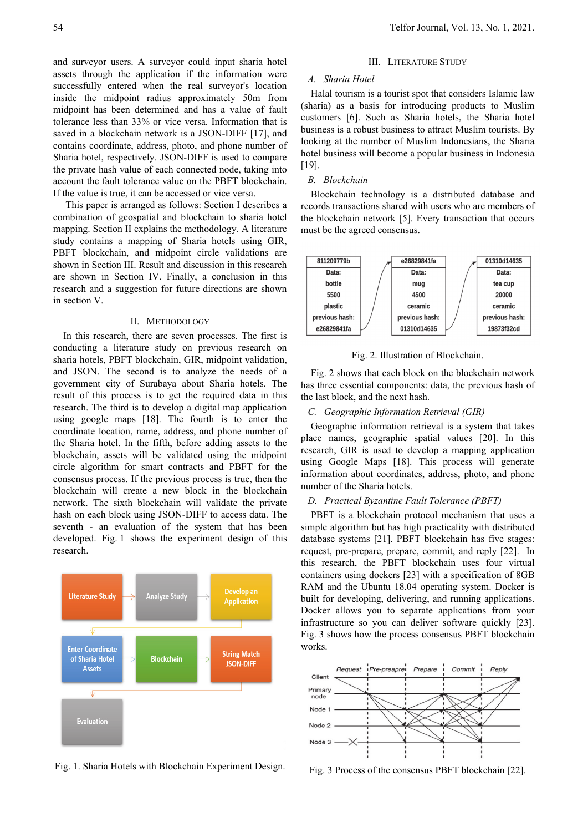and surveyor users. A surveyor could input sharia hotel assets through the application if the information were successfully entered when the real surveyor's location inside the midpoint radius approximately 50m from midpoint has been determined and has a value of fault tolerance less than 33% or vice versa. Information that is saved in a blockchain network is a JSON-DIFF [17], and contains coordinate, address, photo, and phone number of Sharia hotel, respectively. JSON-DIFF is used to compare the private hash value of each connected node, taking into account the fault tolerance value on the PBFT blockchain.

If the value is true, it can be accessed or vice versa. This paper is arranged as follows: Section I describes a combination of geospatial and blockchain to sharia hotel mapping. Section II explains the methodology. A literature study contains a mapping of Sharia hotels using GIR, PBFT blockchain, and midpoint circle validations are shown in Section III. Result and discussion in this research are shown in Section IV. Finally, a conclusion in this research and a suggestion for future directions are shown in section V.

#### II. METHODOLOGY

In this research, there are seven processes. The first is conducting a literature study on previous research on sharia hotels, PBFT blockchain, GIR, midpoint validation, and JSON. The second is to analyze the needs of a government city of Surabaya about Sharia hotels. The result of this process is to get the required data in this research. The third is to develop a digital map application using google maps [18]. The fourth is to enter the coordinate location, name, address, and phone number of the Sharia hotel. In the fifth, before adding assets to the blockchain, assets will be validated using the midpoint circle algorithm for smart contracts and PBFT for the consensus process. If the previous process is true, then the blockchain will create a new block in the blockchain network. The sixth blockchain will validate the private hash on each block using JSON-DIFF to access data. The seventh - an evaluation of the system that has been developed. Fig. 1 shows the experiment design of this research.



Fig. 1. Sharia Hotels with Blockchain Experiment Design.

### III. LITERATURE STUDY

#### *A. Sharia Hotel*

Halal tourism is a tourist spot that considers Islamic law (sharia) as a basis for introducing products to Muslim customers [6]. Such as Sharia hotels, the Sharia hotel business is a robust business to attract Muslim tourists. By looking at the number of Muslim Indonesians, the Sharia hotel business will become a popular business in Indonesia [19].

# *B. Blockchain*

Blockchain technology is a distributed database and records transactions shared with users who are members of the blockchain network [5]. Every transaction that occurs must be the agreed consensus.



Fig. 2. Illustration of Blockchain.

Fig. 2 shows that each block on the blockchain network has three essential components: data, the previous hash of the last block, and the next hash.

# *C. Geographic Information Retrieval (GIR)*

Geographic information retrieval is a system that takes place names, geographic spatial values [20]. In this research, GIR is used to develop a mapping application using Google Maps [18]. This process will generate information about coordinates, address, photo, and phone number of the Sharia hotels.

# *D. Practical Byzantine Fault Tolerance (PBFT)*

PBFT is a blockchain protocol mechanism that uses a simple algorithm but has high practicality with distributed database systems [21]. PBFT blockchain has five stages: request, pre-prepare, prepare, commit, and reply [22]. In this research, the PBFT blockchain uses four virtual containers using dockers [23] with a specification of 8GB RAM and the Ubuntu 18.04 operating system. Docker is built for developing, delivering, and running applications. Docker allows you to separate applications from your infrastructure so you can deliver software quickly [23]. Fig. 3 shows how the process consensus PBFT blockchain works.



Fig. 3 Process of the consensus PBFT blockchain [22].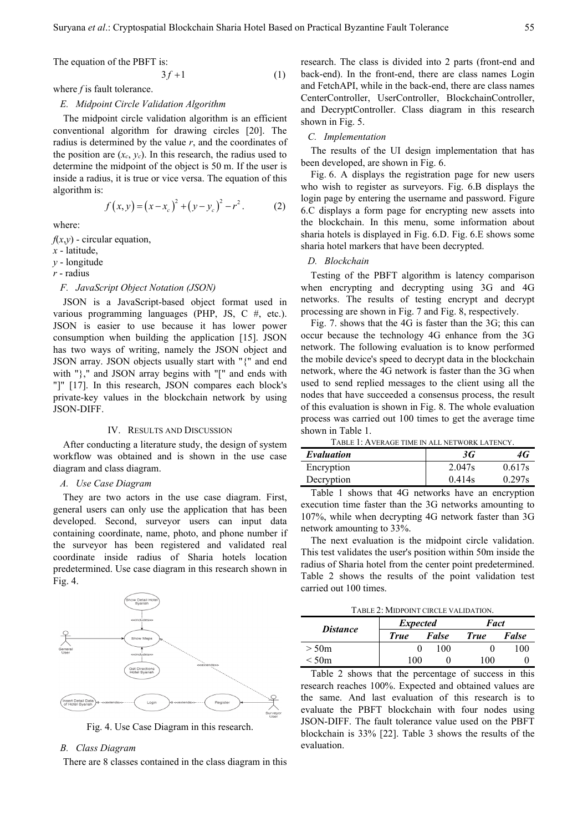The equation of the PBFT is:

$$
3f+1 \tag{1}
$$

where *f* is fault tolerance.

# *E. Midpoint Circle Validation Algorithm*

The midpoint circle validation algorithm is an efficient conventional algorithm for drawing circles [20]. The radius is determined by the value *r*, and the coordinates of the position are  $(x_c, y_c)$ . In this research, the radius used to determine the midpoint of the object is 50 m. If the user is inside a radius, it is true or vice versa. The equation of this algorithm is:

$$
f(x, y) = (x - x_c)^2 + (y - y_c)^2 - r^2.
$$
 (2)

where:

 $f(x,y)$  - circular equation,

*x* - latitude,

*y* - longitude

*r* - radius

### *F. JavaScript Object Notation (JSON)*

# JSON is a JavaScript-based object format used in various programming languages (PHP, JS, C #, etc.). JSON is easier to use because it has lower power consumption when building the application [15]. JSON has two ways of writing, namely the JSON object and JSON array. JSON objects usually start with "{" and end with "}," and JSON array begins with "[" and ends with "]" [17]. In this research, JSON compares each block's private-key values in the blockchain network by using JSON-DIFF.

#### IV. RESULTS AND DISCUSSION

After conducting a literature study, the design of system workflow was obtained and is shown in the use case diagram and class diagram.

#### *A. Use Case Diagram*

They are two actors in the use case diagram. First, general users can only use the application that has been developed. Second, surveyor users can input data containing coordinate, name, photo, and phone number if the surveyor has been registered and validated real coordinate inside radius of Sharia hotels location predetermined. Use case diagram in this research shown in Fig. 4.



Fig. 4. Use Case Diagram in this research.

#### *B. Class Diagram*

There are 8 classes contained in the class diagram in this

research. The class is divided into 2 parts (front-end and back-end). In the front-end, there are class names Login and FetchAPI, while in the back-end, there are class names CenterController, UserController, BlockchainController, and DecryptController. Class diagram in this research shown in Fig. 5.

#### *C. Implementation*

The results of the UI design implementation that has been developed, are shown in Fig. 6.

Fig. 6. A displays the registration page for new users who wish to register as surveyors. Fig. 6.B displays the login page by entering the username and password. Figure 6.C displays a form page for encrypting new assets into the blockchain. In this menu, some information about sharia hotels is displayed in Fig. 6.D. Fig. 6.E shows some sharia hotel markers that have been decrypted.

# *D. Blockchain*

Testing of the PBFT algorithm is latency comparison when encrypting and decrypting using 3G and 4G networks. The results of testing encrypt and decrypt processing are shown in Fig. 7 and Fig. 8, respectively.

Fig. 7. shows that the 4G is faster than the 3G; this can occur because the technology 4G enhance from the 3G network. The following evaluation is to know performed the mobile device's speed to decrypt data in the blockchain network, where the 4G network is faster than the 3G when used to send replied messages to the client using all the nodes that have succeeded a consensus process, the result of this evaluation is shown in Fig. 8. The whole evaluation process was carried out 100 times to get the average time shown in Table 1.

TABLE 1: AVERAGE TIME IN ALL NETWORK LATENCY.

| Evaluation | 3G     | 4G     |
|------------|--------|--------|
| Encryption | 2.047s | 0.617s |
| Decryption | 0.414s | 0.297s |

Table 1 shows that 4G networks have an encryption execution time faster than the 3G networks amounting to 107%, while when decrypting 4G network faster than 3G network amounting to 33%.

The next evaluation is the midpoint circle validation. This test validates the user's position within 50m inside the radius of Sharia hotel from the center point predetermined. Table 2 shows the results of the point validation test carried out 100 times.

TABLE 2: MIDPOINT CIRCLE VALIDATION.

| <i>Distance</i> | <b>Expected</b> |       |             | Fact         |  |
|-----------------|-----------------|-------|-------------|--------------|--|
|                 | <b>True</b>     | False | <b>True</b> | False        |  |
| $>$ 50 $m$      |                 | 100   |             | $00^{\circ}$ |  |
| $<$ 50 $m$      | . 00.           |       | 100         |              |  |

Table 2 shows that the percentage of success in this research reaches 100%. Expected and obtained values are the same. And last evaluation of this research is to evaluate the PBFT blockchain with four nodes using JSON-DIFF. The fault tolerance value used on the PBFT blockchain is 33% [22]. Table 3 shows the results of the evaluation.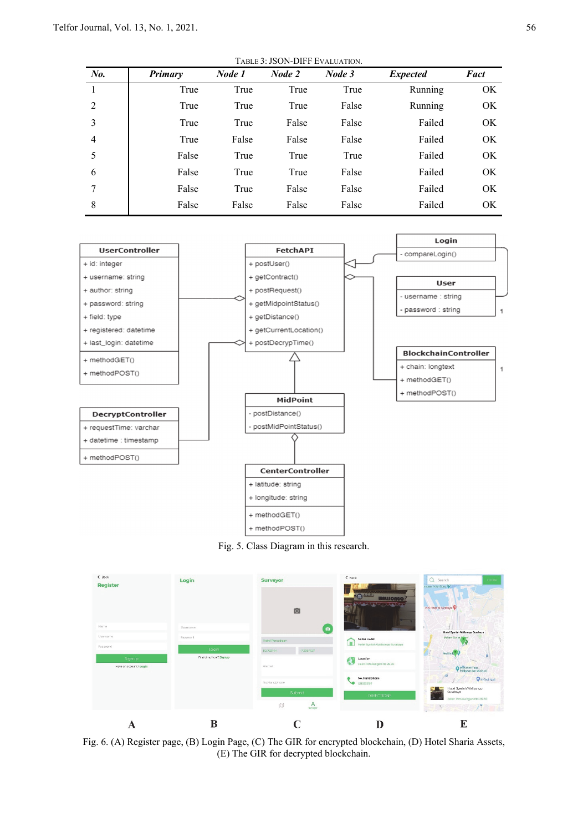| TABLE 3: JSON-DIFF EVALUATION. |                |        |        |        |                 |      |  |  |  |  |
|--------------------------------|----------------|--------|--------|--------|-----------------|------|--|--|--|--|
| No.                            | <b>Primary</b> | Node 1 | Node 2 | Node 3 | <i>Expected</i> | Fact |  |  |  |  |
| 1                              | True           | True   | True   | True   | Running         | OK.  |  |  |  |  |
| 2                              | True           | True   | True   | False  | Running         | OK   |  |  |  |  |
| 3                              | True           | True   | False  | False  | Failed          | OK.  |  |  |  |  |
| 4                              | True           | False  | False  | False  | Failed          | OK.  |  |  |  |  |
| 5                              | False          | True   | True   | True   | Failed          | OK.  |  |  |  |  |
| 6                              | False          | True   | True   | False  | Failed          | OK.  |  |  |  |  |
| 7                              | False          | True   | False  | False  | Failed          | OK.  |  |  |  |  |
| 8                              | False          | False  | False  | False  | Failed          | OK.  |  |  |  |  |







Fig. 6. (A) Register page, (B) Login Page, (C) The GIR for encrypted blockchain, (D) Hotel Sharia Assets, (E) The GIR for decrypted blockchain.